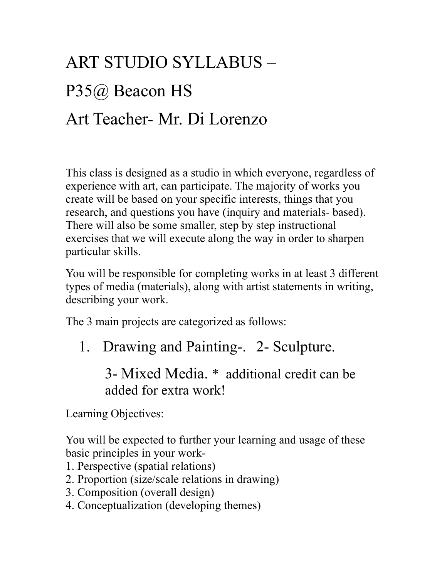## ART STUDIO SYLLABUS – P35@ Beacon HS Art Teacher- Mr. Di Lorenzo

This class is designed as a studio in which everyone, regardless of experience with art, can participate. The majority of works you create will be based on your specific interests, things that you research, and questions you have (inquiry and materials- based). There will also be some smaller, step by step instructional exercises that we will execute along the way in order to sharpen particular skills.

You will be responsible for completing works in at least 3 different types of media (materials), along with artist statements in writing, describing your work.

The 3 main projects are categorized as follows:

1. Drawing and Painting-. 2- Sculpture.

3- Mixed Media. \* additional credit can be added for extra work!

Learning Objectives:

You will be expected to further your learning and usage of these basic principles in your work-

- 1. Perspective (spatial relations)
- 2. Proportion (size/scale relations in drawing)
- 3. Composition (overall design)
- 4. Conceptualization (developing themes)